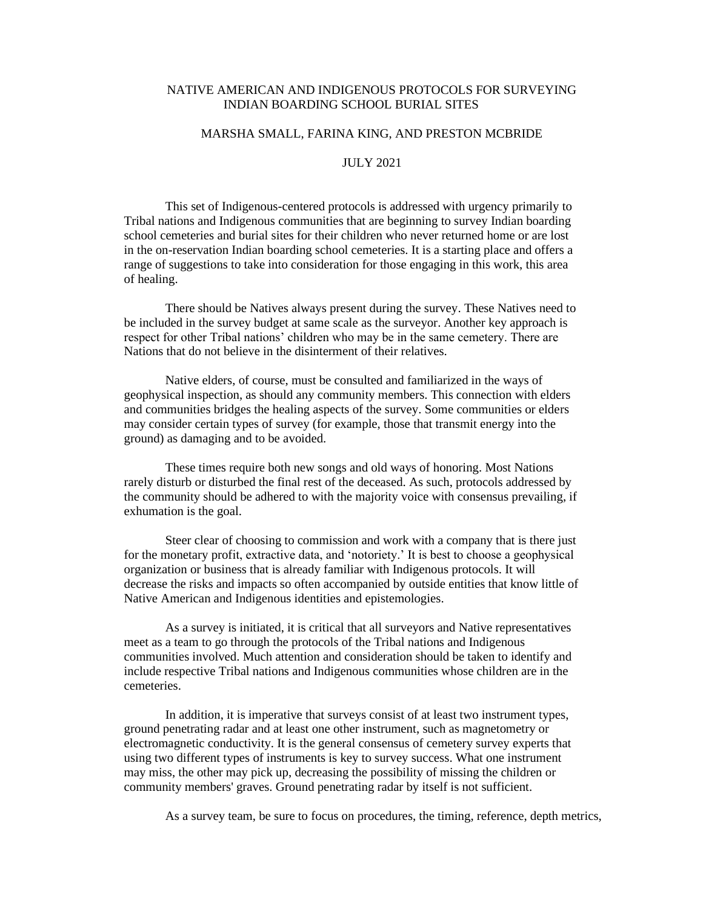## NATIVE AMERICAN AND INDIGENOUS PROTOCOLS FOR SURVEYING INDIAN BOARDING SCHOOL BURIAL SITES

## MARSHA SMALL, FARINA KING, AND PRESTON MCBRIDE

## JULY 2021

This set of Indigenous-centered protocols is addressed with urgency primarily to Tribal nations and Indigenous communities that are beginning to survey Indian boarding school cemeteries and burial sites for their children who never returned home or are lost in the on-reservation Indian boarding school cemeteries. It is a starting place and offers a range of suggestions to take into consideration for those engaging in this work, this area of healing.

There should be Natives always present during the survey. These Natives need to be included in the survey budget at same scale as the surveyor. Another key approach is respect for other Tribal nations' children who may be in the same cemetery. There are Nations that do not believe in the disinterment of their relatives.

Native elders, of course, must be consulted and familiarized in the ways of geophysical inspection, as should any community members. This connection with elders and communities bridges the healing aspects of the survey. Some communities or elders may consider certain types of survey (for example, those that transmit energy into the ground) as damaging and to be avoided.

These times require both new songs and old ways of honoring. Most Nations rarely disturb or disturbed the final rest of the deceased. As such, protocols addressed by the community should be adhered to with the majority voice with consensus prevailing, if exhumation is the goal.

Steer clear of choosing to commission and work with a company that is there just for the monetary profit, extractive data, and 'notoriety.' It is best to choose a geophysical organization or business that is already familiar with Indigenous protocols. It will decrease the risks and impacts so often accompanied by outside entities that know little of Native American and Indigenous identities and epistemologies.

As a survey is initiated, it is critical that all surveyors and Native representatives meet as a team to go through the protocols of the Tribal nations and Indigenous communities involved. Much attention and consideration should be taken to identify and include respective Tribal nations and Indigenous communities whose children are in the cemeteries.

In addition, it is imperative that surveys consist of at least two instrument types, ground penetrating radar and at least one other instrument, such as magnetometry or electromagnetic conductivity. It is the general consensus of cemetery survey experts that using two different types of instruments is key to survey success. What one instrument may miss, the other may pick up, decreasing the possibility of missing the children or community members' graves. Ground penetrating radar by itself is not sufficient.

As a survey team, be sure to focus on procedures, the timing, reference, depth metrics,